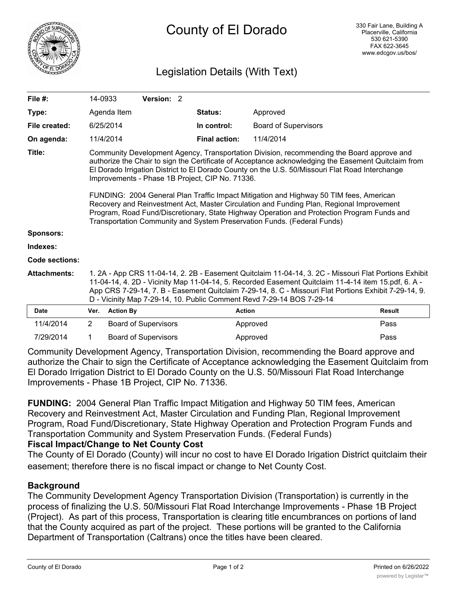

# Legislation Details (With Text)

| File $#$ :          | 14-0933                                                                                                                                                                                                                                                                                                                                                                                                                                                                                                                                                                                                                                                                                                               | Version: 2 |  |                      |                             |               |  |
|---------------------|-----------------------------------------------------------------------------------------------------------------------------------------------------------------------------------------------------------------------------------------------------------------------------------------------------------------------------------------------------------------------------------------------------------------------------------------------------------------------------------------------------------------------------------------------------------------------------------------------------------------------------------------------------------------------------------------------------------------------|------------|--|----------------------|-----------------------------|---------------|--|
| Type:               | Agenda Item                                                                                                                                                                                                                                                                                                                                                                                                                                                                                                                                                                                                                                                                                                           |            |  | <b>Status:</b>       | Approved                    |               |  |
| File created:       | 6/25/2014                                                                                                                                                                                                                                                                                                                                                                                                                                                                                                                                                                                                                                                                                                             |            |  | In control:          | <b>Board of Supervisors</b> |               |  |
| On agenda:          | 11/4/2014                                                                                                                                                                                                                                                                                                                                                                                                                                                                                                                                                                                                                                                                                                             |            |  | <b>Final action:</b> | 11/4/2014                   |               |  |
| Title:              | Community Development Agency, Transportation Division, recommending the Board approve and<br>authorize the Chair to sign the Certificate of Acceptance acknowledging the Easement Quitclaim from<br>El Dorado Irrigation District to El Dorado County on the U.S. 50/Missouri Flat Road Interchange<br>Improvements - Phase 1B Project, CIP No. 71336.<br>FUNDING: 2004 General Plan Traffic Impact Mitigation and Highway 50 TIM fees, American<br>Recovery and Reinvestment Act, Master Circulation and Funding Plan, Regional Improvement<br>Program, Road Fund/Discretionary, State Highway Operation and Protection Program Funds and<br>Transportation Community and System Preservation Funds. (Federal Funds) |            |  |                      |                             |               |  |
| <b>Sponsors:</b>    |                                                                                                                                                                                                                                                                                                                                                                                                                                                                                                                                                                                                                                                                                                                       |            |  |                      |                             |               |  |
| Indexes:            |                                                                                                                                                                                                                                                                                                                                                                                                                                                                                                                                                                                                                                                                                                                       |            |  |                      |                             |               |  |
| Code sections:      |                                                                                                                                                                                                                                                                                                                                                                                                                                                                                                                                                                                                                                                                                                                       |            |  |                      |                             |               |  |
| <b>Attachments:</b> | 1. 2A - App CRS 11-04-14, 2. 2B - Easement Quitclaim 11-04-14, 3. 2C - Missouri Flat Portions Exhibit<br>11-04-14, 4. 2D - Vicinity Map 11-04-14, 5. Recorded Easement Quitclaim 11-4-14 item 15.pdf, 6. A -<br>App CRS 7-29-14, 7. B - Easement Quitclaim 7-29-14, 8. C - Missouri Flat Portions Exhibit 7-29-14, 9.<br>D - Vicinity Map 7-29-14, 10. Public Comment Revd 7-29-14 BOS 7-29-14                                                                                                                                                                                                                                                                                                                        |            |  |                      |                             |               |  |
| <b>Date</b>         | <b>Action By</b><br>Ver.                                                                                                                                                                                                                                                                                                                                                                                                                                                                                                                                                                                                                                                                                              |            |  | <b>Action</b>        |                             | <b>Result</b> |  |
|                     |                                                                                                                                                                                                                                                                                                                                                                                                                                                                                                                                                                                                                                                                                                                       |            |  |                      |                             |               |  |

| Date      | <b>Ver.</b> Action By       | ACTION   | Result |
|-----------|-----------------------------|----------|--------|
| 11/4/2014 | Board of Supervisors        | Approved | Pass   |
| 7/29/2014 | <b>Board of Supervisors</b> | Approved | Pass   |

Community Development Agency, Transportation Division, recommending the Board approve and authorize the Chair to sign the Certificate of Acceptance acknowledging the Easement Quitclaim from El Dorado Irrigation District to El Dorado County on the U.S. 50/Missouri Flat Road Interchange Improvements - Phase 1B Project, CIP No. 71336.

**FUNDING:** 2004 General Plan Traffic Impact Mitigation and Highway 50 TIM fees, American Recovery and Reinvestment Act, Master Circulation and Funding Plan, Regional Improvement Program, Road Fund/Discretionary, State Highway Operation and Protection Program Funds and Transportation Community and System Preservation Funds. (Federal Funds) **Fiscal Impact/Change to Net County Cost**

The County of El Dorado (County) will incur no cost to have El Dorado Irigation District quitclaim their easement; therefore there is no fiscal impact or change to Net County Cost.

## **Background**

The Community Development Agency Transportation Division (Transportation) is currently in the process of finalizing the U.S. 50/Missouri Flat Road Interchange Improvements - Phase 1B Project (Project). As part of this process, Transportation is clearing title encumbrances on portions of land that the County acquired as part of the project. These portions will be granted to the California Department of Transportation (Caltrans) once the titles have been cleared.